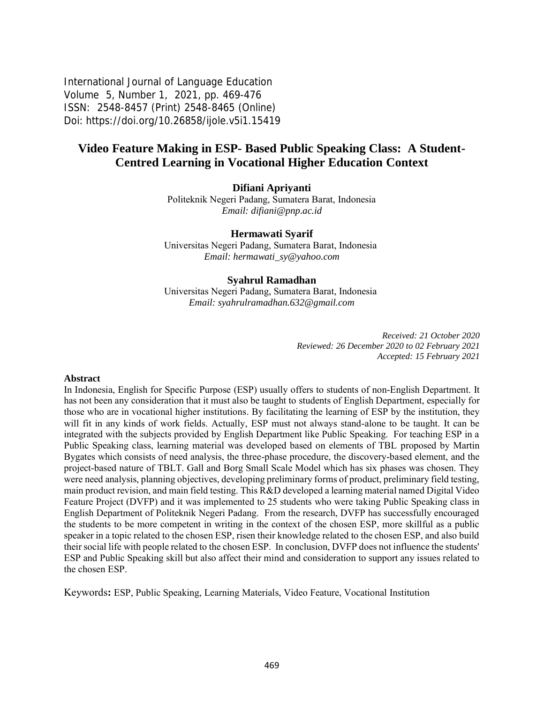International Journal of Language Education Volume 5, Number 1, 2021, pp. 469-476 ISSN: 2548-8457 (Print) 2548-8465 (Online) Doi: <https://doi.org/10.26858/ijole.v5i1.15419>

# **Video Feature Making in ESP- Based Public Speaking Class: A Student-Centred Learning in Vocational Higher Education Context**

### **Difiani Apriyanti**

Politeknik Negeri Padang, Sumatera Barat, Indonesia *Email: difiani@pnp.ac.id*

#### **Hermawati Syarif**

Universitas Negeri Padang, Sumatera Barat, Indonesia *Email: [hermawati\\_sy@yahoo.com](mailto:hermawati_sy@yahoo.com)*

#### **Syahrul Ramadhan**

Universitas Negeri Padang, Sumatera Barat, Indonesia *Email: syahrulramadhan.632@gmail.com*

> *Received: 21 October 2020 Reviewed: 26 December 2020 to 02 February 2021 Accepted: 15 February 2021*

#### **Abstract**

In Indonesia, English for Specific Purpose (ESP) usually offers to students of non-English Department. It has not been any consideration that it must also be taught to students of English Department, especially for those who are in vocational higher institutions. By facilitating the learning of ESP by the institution, they will fit in any kinds of work fields. Actually, ESP must not always stand-alone to be taught. It can be integrated with the subjects provided by English Department like Public Speaking. For teaching ESP in a Public Speaking class, learning material was developed based on elements of TBL proposed by Martin Bygates which consists of need analysis, the three-phase procedure, the discovery-based element, and the project-based nature of TBLT. Gall and Borg Small Scale Model which has six phases was chosen. They were need analysis, planning objectives, developing preliminary forms of product, preliminary field testing, main product revision, and main field testing. This R&D developed a learning material named Digital Video Feature Project (DVFP) and it was implemented to 25 students who were taking Public Speaking class in English Department of Politeknik Negeri Padang. From the research, DVFP has successfully encouraged the students to be more competent in writing in the context of the chosen ESP, more skillful as a public speaker in a topic related to the chosen ESP, risen their knowledge related to the chosen ESP, and also build their social life with people related to the chosen ESP. In conclusion, DVFP does not influence the students' ESP and Public Speaking skill but also affect their mind and consideration to support any issues related to the chosen ESP.

Keywords**:** ESP, Public Speaking, Learning Materials, Video Feature, Vocational Institution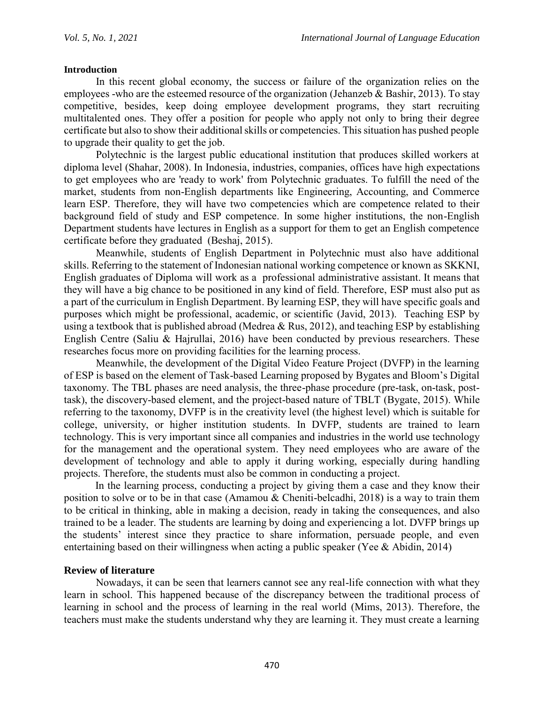### **Introduction**

In this recent global economy, the success or failure of the organization relies on the employees -who are the esteemed resource of the organization (Jehanzeb & Bashir, 2013). To stay competitive, besides, keep doing employee development programs, they start recruiting multitalented ones. They offer a position for people who apply not only to bring their degree certificate but also to show their additional skills or competencies. This situation has pushed people to upgrade their quality to get the job.

Polytechnic is the largest public educational institution that produces skilled workers at diploma level (Shahar, 2008). In Indonesia, industries, companies, offices have high expectations to get employees who are 'ready to work' from Polytechnic graduates. To fulfill the need of the market, students from non-English departments like Engineering, Accounting, and Commerce learn ESP. Therefore, they will have two competencies which are competence related to their background field of study and ESP competence. In some higher institutions, the non-English Department students have lectures in English as a support for them to get an English competence certificate before they graduated (Beshaj, 2015).

Meanwhile, students of English Department in Polytechnic must also have additional skills. Referring to the statement of Indonesian national working competence or known as SKKNI, English graduates of Diploma will work as a professional administrative assistant. It means that they will have a big chance to be positioned in any kind of field. Therefore, ESP must also put as a part of the curriculum in English Department. By learning ESP, they will have specific goals and purposes which might be professional, academic, or scientific (Javid, 2013). Teaching ESP by using a textbook that is published abroad (Medrea & Rus, 2012), and teaching ESP by establishing English Centre (Saliu & Hajrullai, 2016) have been conducted by previous researchers. These researches focus more on providing facilities for the learning process.

Meanwhile, the development of the Digital Video Feature Project (DVFP) in the learning of ESP is based on the element of Task-based Learning proposed by Bygates and Bloom's Digital taxonomy. The TBL phases are need analysis, the three-phase procedure (pre-task, on-task, posttask), the discovery-based element, and the project-based nature of TBLT (Bygate, 2015). While referring to the taxonomy, DVFP is in the creativity level (the highest level) which is suitable for college, university, or higher institution students. In DVFP, students are trained to learn technology. This is very important since all companies and industries in the world use technology for the management and the operational system. They need employees who are aware of the development of technology and able to apply it during working, especially during handling projects. Therefore, the students must also be common in conducting a project.

In the learning process, conducting a project by giving them a case and they know their position to solve or to be in that case (Amamou & Cheniti-belcadhi, 2018) is a way to train them to be critical in thinking, able in making a decision, ready in taking the consequences, and also trained to be a leader. The students are learning by doing and experiencing a lot. DVFP brings up the students' interest since they practice to share information, persuade people, and even entertaining based on their willingness when acting a public speaker (Yee & Abidin, 2014)

## **Review of literature**

Nowadays, it can be seen that learners cannot see any real-life connection with what they learn in school. This happened because of the discrepancy between the traditional process of learning in school and the process of learning in the real world (Mims, 2013). Therefore, the teachers must make the students understand why they are learning it. They must create a learning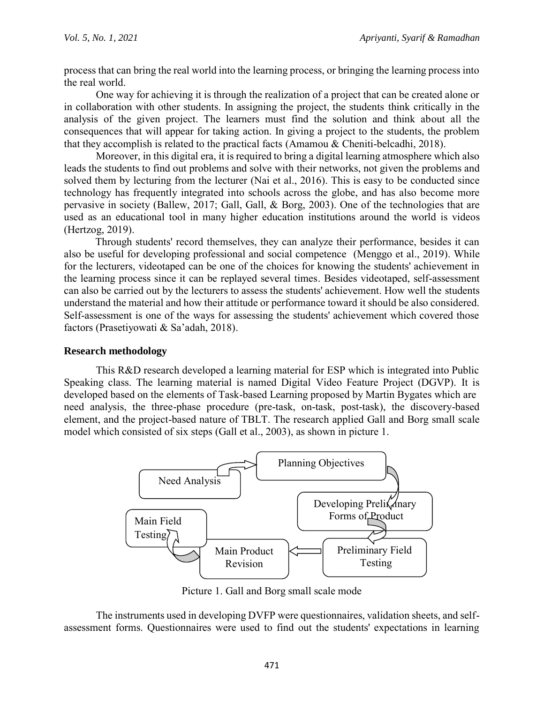process that can bring the real world into the learning process, or bringing the learning process into the real world.

One way for achieving it is through the realization of a project that can be created alone or in collaboration with other students. In assigning the project, the students think critically in the analysis of the given project. The learners must find the solution and think about all the consequences that will appear for taking action. In giving a project to the students, the problem that they accomplish is related to the practical facts (Amamou & Cheniti-belcadhi, 2018).

Moreover, in this digital era, it is required to bring a digital learning atmosphere which also leads the students to find out problems and solve with their networks, not given the problems and solved them by lecturing from the lecturer (Nai et al., 2016). This is easy to be conducted since technology has frequently integrated into schools across the globe, and has also become more pervasive in society (Ballew, 2017; Gall, Gall, & Borg, 2003). One of the technologies that are used as an educational tool in many higher education institutions around the world is videos (Hertzog, 2019).

Through students' record themselves, they can analyze their performance, besides it can also be useful for developing professional and social competence (Menggo et al., 2019). While for the lecturers, videotaped can be one of the choices for knowing the students' achievement in the learning process since it can be replayed several times. Besides videotaped, self-assessment can also be carried out by the lecturers to assess the students' achievement. How well the students understand the material and how their attitude or performance toward it should be also considered. Self-assessment is one of the ways for assessing the students' achievement which covered those factors (Prasetiyowati & Sa'adah, 2018).

## **Research methodology**

This R&D research developed a learning material for ESP which is integrated into Public Speaking class. The learning material is named Digital Video Feature Project (DGVP). It is developed based on the elements of Task-based Learning proposed by Martin Bygates which are need analysis, the three-phase procedure (pre-task, on-task, post-task), the discovery-based element, and the project-based nature of TBLT. The research applied Gall and Borg small scale model which consisted of six steps (Gall et al., 2003), as shown in picture 1.



Picture 1. Gall and Borg small scale mode

The instruments used in developing DVFP were questionnaires, validation sheets, and selfassessment forms. Questionnaires were used to find out the students' expectations in learning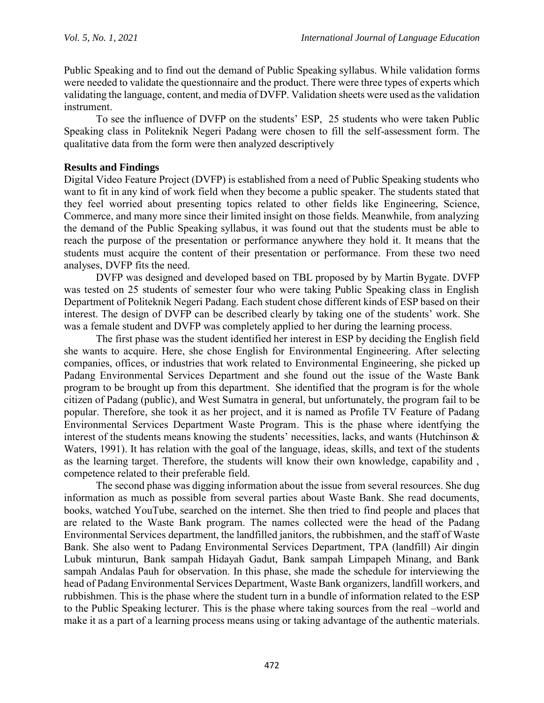Public Speaking and to find out the demand of Public Speaking syllabus. While validation forms were needed to validate the questionnaire and the product. There were three types of experts which validating the language, content, and media of DVFP. Validation sheets were used as the validation instrument.

To see the influence of DVFP on the students' ESP, 25 students who were taken Public Speaking class in Politeknik Negeri Padang were chosen to fill the self-assessment form. The qualitative data from the form were then analyzed descriptively

## **Results and Findings**

Digital Video Feature Project (DVFP) is established from a need of Public Speaking students who want to fit in any kind of work field when they become a public speaker. The students stated that they feel worried about presenting topics related to other fields like Engineering, Science, Commerce, and many more since their limited insight on those fields. Meanwhile, from analyzing the demand of the Public Speaking syllabus, it was found out that the students must be able to reach the purpose of the presentation or performance anywhere they hold it. It means that the students must acquire the content of their presentation or performance. From these two need analyses, DVFP fits the need.

DVFP was designed and developed based on TBL proposed by by Martin Bygate. DVFP was tested on 25 students of semester four who were taking Public Speaking class in English Department of Politeknik Negeri Padang. Each student chose different kinds of ESP based on their interest. The design of DVFP can be described clearly by taking one of the students' work. She was a female student and DVFP was completely applied to her during the learning process.

The first phase was the student identified her interest in ESP by deciding the English field she wants to acquire. Here, she chose English for Environmental Engineering. After selecting companies, offices, or industries that work related to Environmental Engineering, she picked up Padang Environmental Services Department and she found out the issue of the Waste Bank program to be brought up from this department. She identified that the program is for the whole citizen of Padang (public), and West Sumatra in general, but unfortunately, the program fail to be popular. Therefore, she took it as her project, and it is named as Profile TV Feature of Padang Environmental Services Department Waste Program. This is the phase where identfying the interest of the students means knowing the students' necessities, lacks, and wants (Hutchinson & Waters, 1991). It has relation with the goal of the language, ideas, skills, and text of the students as the learning target. Therefore, the students will know their own knowledge, capability and , competence related to their preferable field.

The second phase was digging information about the issue from several resources. She dug information as much as possible from several parties about Waste Bank. She read documents, books, watched YouTube, searched on the internet. She then tried to find people and places that are related to the Waste Bank program. The names collected were the head of the Padang Environmental Services department, the landfilled janitors, the rubbishmen, and the staff of Waste Bank. She also went to Padang Environmental Services Department, TPA (landfill) Air dingin Lubuk minturun, Bank sampah Hidayah Gadut, Bank sampah Limpapeh Minang, and Bank sampah Andalas Pauh for observation. In this phase, she made the schedule for interviewing the head of Padang Environmental Services Department, Waste Bank organizers, landfill workers, and rubbishmen. This is the phase where the student turn in a bundle of information related to the ESP to the Public Speaking lecturer. This is the phase where taking sources from the real –world and make it as a part of a learning process means using or taking advantage of the authentic materials.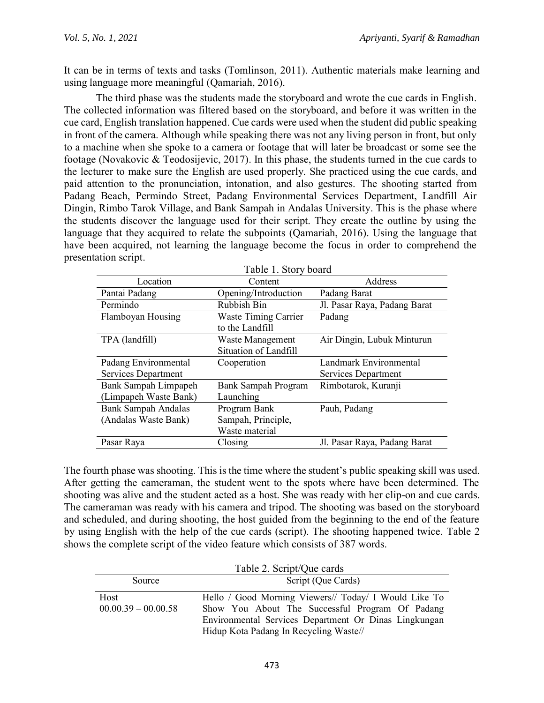It can be in terms of texts and tasks (Tomlinson, 2011). Authentic materials make learning and using language more meaningful (Qamariah, 2016).

The third phase was the students made the storyboard and wrote the cue cards in English. The collected information was filtered based on the storyboard, and before it was written in the cue card, English translation happened. Cue cards were used when the student did public speaking in front of the camera. Although while speaking there was not any living person in front, but only to a machine when she spoke to a camera or footage that will later be broadcast or some see the footage (Novakovic & Teodosijevic, 2017). In this phase, the students turned in the cue cards to the lecturer to make sure the English are used properly. She practiced using the cue cards, and paid attention to the pronunciation, intonation, and also gestures. The shooting started from Padang Beach, Permindo Street, Padang Environmental Services Department, Landfill Air Dingin, Rimbo Tarok Village, and Bank Sampah in Andalas University. This is the phase where the students discover the language used for their script. They create the outline by using the language that they acquired to relate the subpoints (Qamariah, 2016). Using the language that have been acquired, not learning the language become the focus in order to comprehend the presentation script.  $T_{\text{c}}$  1.  $1.1$  Story board board board board board board board board board board board board board board board board board board board board board board board board board board board board board board board board boar

|                            | Table 1. Story board        |                              |
|----------------------------|-----------------------------|------------------------------|
| Location                   | Content                     | Address                      |
| Pantai Padang              | Opening/Introduction        | Padang Barat                 |
| Permindo                   | Rubbish Bin                 | Jl. Pasar Raya, Padang Barat |
| Flamboyan Housing          | <b>Waste Timing Carrier</b> | Padang                       |
|                            | to the Landfill             |                              |
| TPA (landfill)             | Waste Management            | Air Dingin, Lubuk Minturun   |
|                            | Situation of Landfill       |                              |
| Padang Environmental       | Cooperation                 | Landmark Environmental       |
| Services Department        |                             | Services Department          |
| Bank Sampah Limpapeh       | Bank Sampah Program         | Rimbotarok, Kuranji          |
| (Limpapeh Waste Bank)      | Launching                   |                              |
| <b>Bank Sampah Andalas</b> | Program Bank                | Pauh, Padang                 |
| (Andalas Waste Bank)       | Sampah, Principle,          |                              |
|                            | Waste material              |                              |
| Pasar Raya                 | Closing                     | Jl. Pasar Raya, Padang Barat |

The fourth phase was shooting. This is the time where the student's public speaking skill was used. After getting the cameraman, the student went to the spots where have been determined. The shooting was alive and the student acted as a host. She was ready with her clip-on and cue cards. The cameraman was ready with his camera and tripod. The shooting was based on the storyboard and scheduled, and during shooting, the host guided from the beginning to the end of the feature by using English with the help of the cue cards (script). The shooting happened twice. Table 2 shows the complete script of the video feature which consists of 387 words.

| Table 2. Script/Que cards |  |  |  |
|---------------------------|--|--|--|
|---------------------------|--|--|--|

| Source                | Script (Que Cards)                                    |  |
|-----------------------|-------------------------------------------------------|--|
| Host                  | Hello / Good Morning Viewers// Today/ I Would Like To |  |
| $00.00.39 - 00.00.58$ | Show You About The Successful Program Of Padang       |  |
|                       | Environmental Services Department Or Dinas Lingkungan |  |
|                       | Hidup Kota Padang In Recycling Waste//                |  |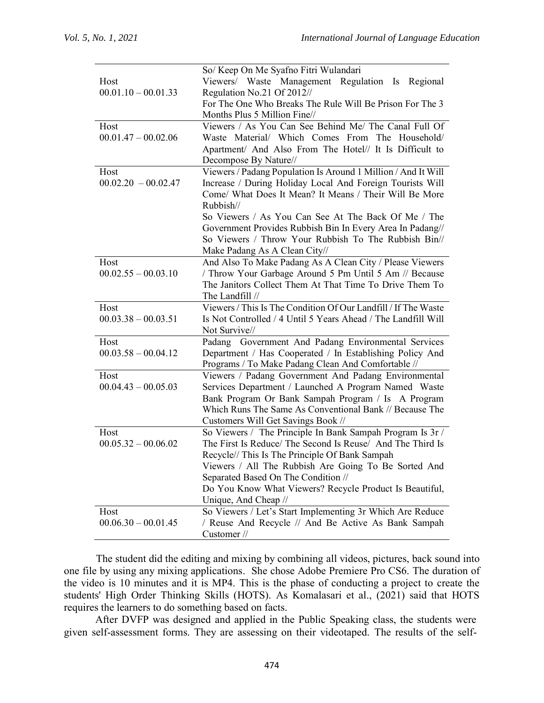|                               | So/ Keep On Me Syafno Fitri Wulandari                                                                      |  |
|-------------------------------|------------------------------------------------------------------------------------------------------------|--|
| Host                          | Viewers/ Waste Management Regulation Is Regional                                                           |  |
| $00.01.10 - 00.01.33$         | Regulation No.21 Of 2012//                                                                                 |  |
|                               | For The One Who Breaks The Rule Will Be Prison For The 3                                                   |  |
|                               | Months Plus 5 Million Fine//                                                                               |  |
| Host                          | Viewers / As You Can See Behind Me/ The Canal Full Of                                                      |  |
| $00.01.47 - 00.02.06$         | Waste Material/ Which Comes From The Household/                                                            |  |
|                               | Apartment/ And Also From The Hotel// It Is Difficult to                                                    |  |
|                               | Decompose By Nature//                                                                                      |  |
| Host                          | Viewers / Padang Population Is Around 1 Million / And It Will                                              |  |
| $00.02.20 - 00.02.47$         | Increase / During Holiday Local And Foreign Tourists Will                                                  |  |
|                               | Come/ What Does It Mean? It Means / Their Will Be More                                                     |  |
|                               | Rubbish//                                                                                                  |  |
|                               | So Viewers / As You Can See At The Back Of Me / The                                                        |  |
|                               | Government Provides Rubbish Bin In Every Area In Padang//                                                  |  |
|                               | So Viewers / Throw Your Rubbish To The Rubbish Bin//                                                       |  |
|                               | Make Padang As A Clean City//                                                                              |  |
| Host                          | And Also To Make Padang As A Clean City / Please Viewers                                                   |  |
| $00.02.55 - 00.03.10$         | / Throw Your Garbage Around 5 Pm Until 5 Am // Because                                                     |  |
|                               | The Janitors Collect Them At That Time To Drive Them To                                                    |  |
|                               | The Landfill //                                                                                            |  |
| Host                          | Viewers / This Is The Condition Of Our Landfill / If The Waste                                             |  |
| $00.03.38 - 00.03.51$         | Is Not Controlled / 4 Until 5 Years Ahead / The Landfill Will                                              |  |
|                               | Not Survive//                                                                                              |  |
| Host<br>$00.03.58 - 00.04.12$ | Padang Government And Padang Environmental Services                                                        |  |
|                               | Department / Has Cooperated / In Establishing Policy And                                                   |  |
| Host                          | Programs / To Make Padang Clean And Comfortable //<br>Viewers / Padang Government And Padang Environmental |  |
| $00.04.43 - 00.05.03$         | Services Department / Launched A Program Named Waste                                                       |  |
|                               | Bank Program Or Bank Sampah Program / Is A Program                                                         |  |
|                               | Which Runs The Same As Conventional Bank // Because The                                                    |  |
|                               | Customers Will Get Savings Book //                                                                         |  |
| Host                          | So Viewers / The Principle In Bank Sampah Program Is 3r /                                                  |  |
| $00.05.32 - 00.06.02$         | The First Is Reduce/ The Second Is Reuse/ And The Third Is                                                 |  |
|                               | Recycle// This Is The Principle Of Bank Sampah                                                             |  |
|                               | Viewers / All The Rubbish Are Going To Be Sorted And                                                       |  |
|                               | Separated Based On The Condition //                                                                        |  |
|                               | Do You Know What Viewers? Recycle Product Is Beautiful,                                                    |  |
|                               | Unique, And Cheap //                                                                                       |  |
| Host                          | So Viewers / Let's Start Implementing 3r Which Are Reduce                                                  |  |
| $00.06.30 - 00.01.45$         | / Reuse And Recycle // And Be Active As Bank Sampah                                                        |  |
|                               | Customer //                                                                                                |  |

The student did the editing and mixing by combining all videos, pictures, back sound into one file by using any mixing applications. She chose Adobe Premiere Pro CS6. The duration of the video is 10 minutes and it is MP4. This is the phase of conducting a project to create the students' High Order Thinking Skills (HOTS). As Komalasari et al., (2021) said that HOTS requires the learners to do something based on facts.

After DVFP was designed and applied in the Public Speaking class, the students were given self-assessment forms. They are assessing on their videotaped. The results of the self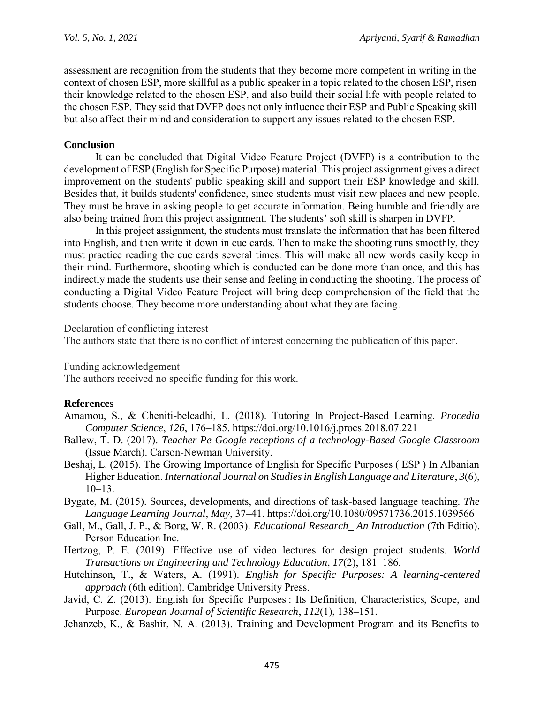assessment are recognition from the students that they become more competent in writing in the context of chosen ESP, more skillful as a public speaker in a topic related to the chosen ESP, risen their knowledge related to the chosen ESP, and also build their social life with people related to the chosen ESP. They said that DVFP does not only influence their ESP and Public Speaking skill but also affect their mind and consideration to support any issues related to the chosen ESP.

## **Conclusion**

It can be concluded that Digital Video Feature Project (DVFP) is a contribution to the development of ESP (English for Specific Purpose) material. This project assignment gives a direct improvement on the students' public speaking skill and support their ESP knowledge and skill. Besides that, it builds students' confidence, since students must visit new places and new people. They must be brave in asking people to get accurate information. Being humble and friendly are also being trained from this project assignment. The students' soft skill is sharpen in DVFP.

In this project assignment, the students must translate the information that has been filtered into English, and then write it down in cue cards. Then to make the shooting runs smoothly, they must practice reading the cue cards several times. This will make all new words easily keep in their mind. Furthermore, shooting which is conducted can be done more than once, and this has indirectly made the students use their sense and feeling in conducting the shooting. The process of conducting a Digital Video Feature Project will bring deep comprehension of the field that the students choose. They become more understanding about what they are facing.

Declaration of conflicting interest

The authors state that there is no conflict of interest concerning the publication of this paper.

Funding acknowledgement

The authors received no specific funding for this work.

## **References**

- Amamou, S., & Cheniti-belcadhi, L. (2018). Tutoring In Project-Based Learning. *Procedia Computer Science*, *126*, 176–185. https://doi.org/10.1016/j.procs.2018.07.221
- Ballew, T. D. (2017). *Teacher Pe Google receptions of a technology-Based Google Classroom* (Issue March). Carson-Newman University.
- Beshaj, L. (2015). The Growing Importance of English for Specific Purposes ( ESP ) In Albanian Higher Education. *International Journal on Studies in English Language and Literature*, *3*(6),  $10-13$ .
- Bygate, M. (2015). Sources, developments, and directions of task-based language teaching. *The Language Learning Journal*, *May*, 37–41. https://doi.org/10.1080/09571736.2015.1039566
- Gall, M., Gall, J. P., & Borg, W. R. (2003). *Educational Research\_ An Introduction* (7th Editio). Person Education Inc.
- Hertzog, P. E. (2019). Effective use of video lectures for design project students. *World Transactions on Engineering and Technology Education*, *17*(2), 181–186.
- Hutchinson, T., & Waters, A. (1991). *English for Specific Purposes: A learning-centered approach* (6th edition). Cambridge University Press.
- Javid, C. Z. (2013). English for Specific Purposes : Its Definition, Characteristics, Scope, and Purpose. *European Journal of Scientific Research*, *112*(1), 138–151.
- Jehanzeb, K., & Bashir, N. A. (2013). Training and Development Program and its Benefits to